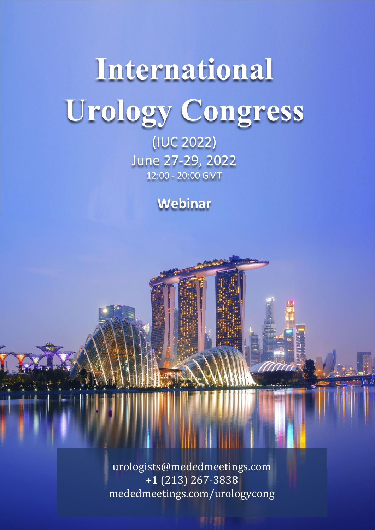# International Urology Congress

(IUC 2022) June 27-29, 2022<br>12:00 - 20:00 GMT

Webinar

urologists@mededmeetings.com +1 (213) 267-3838 mededmeetings.com/urologycong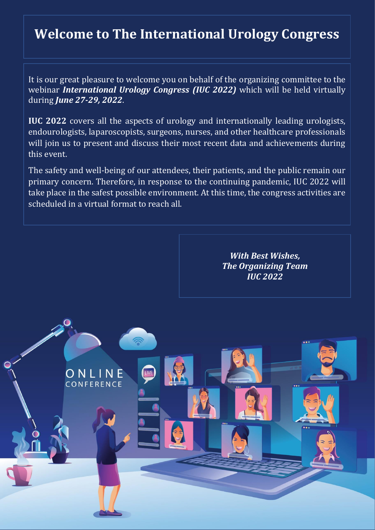## **Welcome to The International Urology Congress**

It is our great pleasure to welcome you on behalf of the organizing committee to the webinar *International Urology Congress (IUC 2022)* which will be held virtually during *June 27-29, 2022*.

**IUC 2022** covers all the aspects of urology and internationally leading urologists, endourologists, laparoscopists, surgeons, nurses, and other healthcare professionals will join us to present and discuss their most recent data and achievements during this event.

The safety and well-being of our attendees, their patients, and the public remain our primary concern. Therefore, in response to the continuing pandemic, IUC 2022 will take place in the safest possible environment. At this time, the congress activities are scheduled in a virtual format to reach all.

> ONLINE CONFERENCE

*With Best Wishes, The Organizing Team IUC 2022*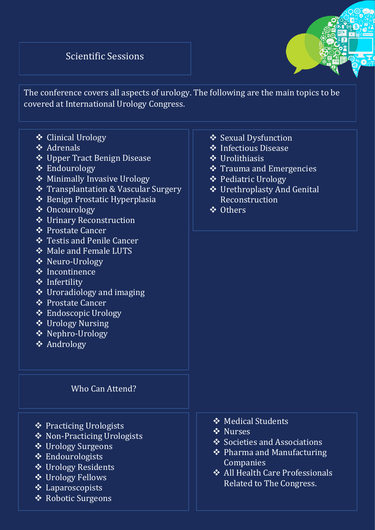#### Scientific Sessions



The conference covers all aspects of urology. The following are the main topics to be covered at International Urology Congress.

- ❖ Clinical Urology
- ❖ Adrenals
- ❖ Upper Tract Benign Disease
- ❖ Endourology
- ❖ Minimally Invasive Urology
- ❖ Transplantation & Vascular Surgery
- ❖ Benign Prostatic Hyperplasia
- ❖ Oncourology
- ❖ Urinary Reconstruction
- ❖ Prostate Cancer
- ❖ Testis and Penile Cancer
- ❖ Male and Female LUTS
- ❖ Neuro-Urology
- ❖ Incontinence
- ❖ Infertility
- ❖ Uroradiology and imaging
- ❖ Prostate Cancer
- ❖ Endoscopic Urology
- ❖ Urology Nursing
- ❖ Nephro-Urology
- ❖ Andrology

#### Who Can Attend?

- ❖ Practicing Urologists
- ❖ Non-Practicing Urologists
- ❖ Urology Surgeons
- ❖ Endourologists
- ❖ Urology Residents
- ❖ Urology Fellows
- ❖ Laparoscopists
- ❖ Robotic Surgeons
- ❖ Sexual Dysfunction
- ❖ Infectious Disease
- ❖ Urolithiasis
- ❖ Trauma and Emergencies
- ❖ Pediatric Urology
- ❖ Urethroplasty And Genital Reconstruction
- ❖ Others

- ❖ Medical Students
- ❖ Nurses
- ❖ Societies and Associations
- ❖ Pharma and Manufacturing Companies
- ❖ All Health Care Professionals Related to The Congress.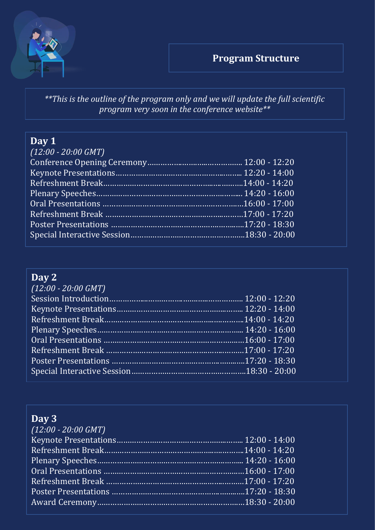



*\*\*This is the outline of the program only and we will update the full scientific program very soon in the conference website\*\**

### **Day 1**

| $(12:00 - 20:00$ GMT) |  |
|-----------------------|--|
|                       |  |
|                       |  |
|                       |  |
|                       |  |
|                       |  |
|                       |  |
|                       |  |
|                       |  |

## **Day 2**

| $(12:00 - 20:00$ GMT) |  |
|-----------------------|--|
|                       |  |
|                       |  |
|                       |  |
|                       |  |
|                       |  |
|                       |  |
|                       |  |
|                       |  |
|                       |  |

## **Day 3**

| $(12:00 - 20:00$ GMT) |  |
|-----------------------|--|
|                       |  |
|                       |  |
|                       |  |
|                       |  |
|                       |  |
|                       |  |
|                       |  |